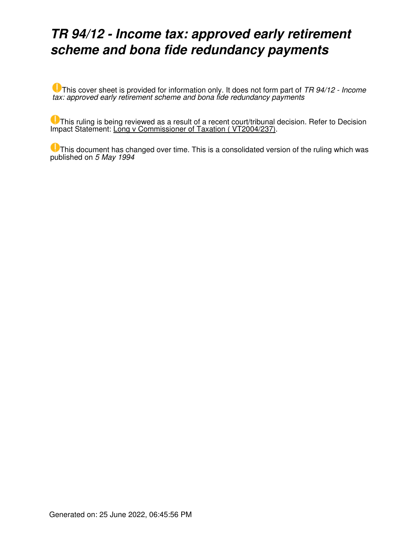# *TR 94/12 - Income tax: approved early retirement scheme and bona fide redundancy payments*

This cover sheet is provided for information only. It does not form part of *TR 94/12 - Income tax: approved early retirement scheme and bona fide redundancy payments*

This ruling is being reviewed as a result of a recent court/tribunal decision. Refer to Decision Impact Statement: [Long v Commissioner of Taxation \( VT2004/237\).](https://www.ato.gov.au/law/view/document?LocID=%22LIT%2FICD%2FVT2004%2F237%2F00001%22&PiT=20070815000001)

This document has changed over time. This is a consolidated version of the ruling which was published on *5 May 1994*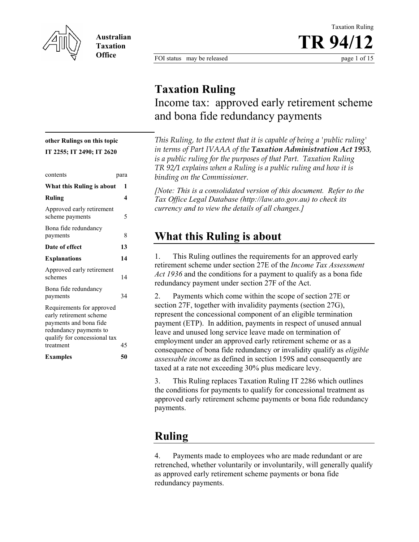

**Australian Taxation Office** 

FOI status may be released page 1 of 15

 Taxation Ruling **TR 94/12**

# **Taxation Ruling**

Income tax: approved early retirement scheme and bona fide redundancy payments

*This Ruling, to the extent that it is capable of being a 'public ruling' in terms of Part IVAAA of the Taxation Administration Act 1953, is a public ruling for the purposes of that Part. Taxation Ruling TR 92/1 explains when a Ruling is a public ruling and how it is binding on the Commissioner.*

*[Note: This is a consolidated version of this document. Refer to the Tax Office Legal Database (http://law.ato.gov.au) to check its currency and to view the details of all changes.]* 

# **What this Ruling is about**

1. This Ruling outlines the requirements for an approved early retirement scheme under section 27E of the *Income Tax Assessment Act 1936* and the conditions for a payment to qualify as a bona fide redundancy payment under section 27F of the Act.

2. Payments which come within the scope of section 27E or section 27F, together with invalidity payments (section 27G), represent the concessional component of an eligible termination payment (ETP). In addition, payments in respect of unused annual leave and unused long service leave made on termination of employment under an approved early retirement scheme or as a consequence of bona fide redundancy or invalidity qualify as *eligible assessable income* as defined in section 159S and consequently are taxed at a rate not exceeding 30% plus medicare levy.

3. This Ruling replaces Taxation Ruling IT 2286 which outlines the conditions for payments to qualify for concessional treatment as approved early retirement scheme payments or bona fide redundancy payments.

# **Ruling**

4. Payments made to employees who are made redundant or are retrenched, whether voluntarily or involuntarily, will generally qualify as approved early retirement scheme payments or bona fide redundancy payments.

**other Rulings on this topic IT 2255; IT 2490; IT 2620** 

| contents                                                                                                                                              | para |
|-------------------------------------------------------------------------------------------------------------------------------------------------------|------|
| What this Ruling is about                                                                                                                             | 1    |
| <b>Ruling</b>                                                                                                                                         | 4    |
| Approved early retirement<br>scheme payments                                                                                                          | 5    |
| Bona fide redundancy<br>payments                                                                                                                      | 8    |
| <b>Date of effect</b>                                                                                                                                 | 13   |
| <b>Explanations</b>                                                                                                                                   | 14   |
| Approved early retirement<br>schemes                                                                                                                  | 14   |
| Bona fide redundancy<br>payments                                                                                                                      | 34   |
| Requirements for approved<br>early retirement scheme<br>payments and bona fide<br>redundancy payments to<br>qualify for concessional tax<br>treatment | 45   |
| <b>Examples</b>                                                                                                                                       | 50   |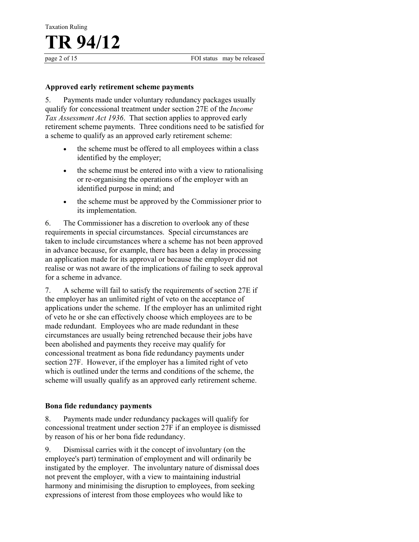#### **Approved early retirement scheme payments**

5. Payments made under voluntary redundancy packages usually qualify for concessional treatment under section 27E of the *Income Tax Assessment Act 1936*. That section applies to approved early retirement scheme payments. Three conditions need to be satisfied for a scheme to qualify as an approved early retirement scheme:

- the scheme must be offered to all employees within a class identified by the employer;
- the scheme must be entered into with a view to rationalising or re-organising the operations of the employer with an identified purpose in mind; and
- the scheme must be approved by the Commissioner prior to its implementation.

6. The Commissioner has a discretion to overlook any of these requirements in special circumstances. Special circumstances are taken to include circumstances where a scheme has not been approved in advance because, for example, there has been a delay in processing an application made for its approval or because the employer did not realise or was not aware of the implications of failing to seek approval for a scheme in advance.

7. A scheme will fail to satisfy the requirements of section 27E if the employer has an unlimited right of veto on the acceptance of applications under the scheme. If the employer has an unlimited right of veto he or she can effectively choose which employees are to be made redundant. Employees who are made redundant in these circumstances are usually being retrenched because their jobs have been abolished and payments they receive may qualify for concessional treatment as bona fide redundancy payments under section 27F. However, if the employer has a limited right of veto which is outlined under the terms and conditions of the scheme, the scheme will usually qualify as an approved early retirement scheme.

#### **Bona fide redundancy payments**

8. Payments made under redundancy packages will qualify for concessional treatment under section 27F if an employee is dismissed by reason of his or her bona fide redundancy.

9. Dismissal carries with it the concept of involuntary (on the employee's part) termination of employment and will ordinarily be instigated by the employer. The involuntary nature of dismissal does not prevent the employer, with a view to maintaining industrial harmony and minimising the disruption to employees, from seeking expressions of interest from those employees who would like to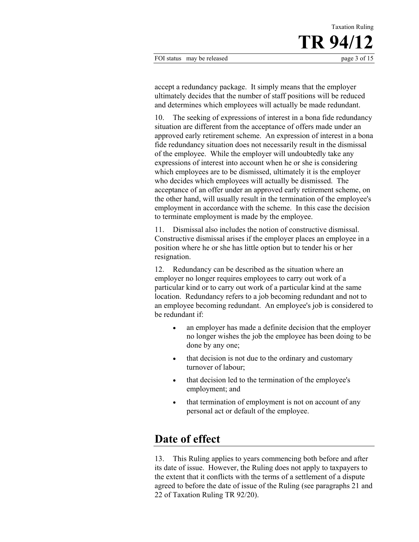FOI status may be released page 3 of 15

accept a redundancy package. It simply means that the employer ultimately decides that the number of staff positions will be reduced and determines which employees will actually be made redundant.

10. The seeking of expressions of interest in a bona fide redundancy situation are different from the acceptance of offers made under an approved early retirement scheme. An expression of interest in a bona fide redundancy situation does not necessarily result in the dismissal of the employee. While the employer will undoubtedly take any expressions of interest into account when he or she is considering which employees are to be dismissed, ultimately it is the employer who decides which employees will actually be dismissed. The acceptance of an offer under an approved early retirement scheme, on the other hand, will usually result in the termination of the employee's employment in accordance with the scheme. In this case the decision to terminate employment is made by the employee.

11. Dismissal also includes the notion of constructive dismissal. Constructive dismissal arises if the employer places an employee in a position where he or she has little option but to tender his or her resignation.

12. Redundancy can be described as the situation where an employer no longer requires employees to carry out work of a particular kind or to carry out work of a particular kind at the same location. Redundancy refers to a job becoming redundant and not to an employee becoming redundant. An employee's job is considered to be redundant if:

- an employer has made a definite decision that the employer no longer wishes the job the employee has been doing to be done by any one;
- that decision is not due to the ordinary and customary turnover of labour;
- that decision led to the termination of the employee's employment; and
- that termination of employment is not on account of any personal act or default of the employee.

# **Date of effect**

13. This Ruling applies to years commencing both before and after its date of issue. However, the Ruling does not apply to taxpayers to the extent that it conflicts with the terms of a settlement of a dispute agreed to before the date of issue of the Ruling (see paragraphs 21 and 22 of Taxation Ruling TR 92/20).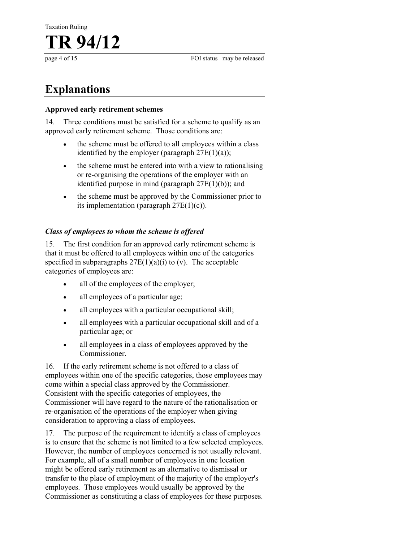# **Explanations**

**TR 94/12**

#### **Approved early retirement schemes**

14. Three conditions must be satisfied for a scheme to qualify as an approved early retirement scheme. Those conditions are:

- the scheme must be offered to all employees within a class identified by the employer (paragraph  $27E(1)(a)$ );
- the scheme must be entered into with a view to rationalising or re-organising the operations of the employer with an identified purpose in mind (paragraph  $27E(1)(b)$ ); and
- the scheme must be approved by the Commissioner prior to its implementation (paragraph 27E(1)(c)).

### *Class of employees to whom the scheme is offered*

15. The first condition for an approved early retirement scheme is that it must be offered to all employees within one of the categories specified in subparagraphs  $27E(1)(a)(i)$  to (v). The acceptable categories of employees are:

- all of the employees of the employer;
- all employees of a particular age;
- all employees with a particular occupational skill;
- all employees with a particular occupational skill and of a particular age; or
- all employees in a class of employees approved by the Commissioner.

16. If the early retirement scheme is not offered to a class of employees within one of the specific categories, those employees may come within a special class approved by the Commissioner. Consistent with the specific categories of employees, the Commissioner will have regard to the nature of the rationalisation or re-organisation of the operations of the employer when giving consideration to approving a class of employees.

17. The purpose of the requirement to identify a class of employees is to ensure that the scheme is not limited to a few selected employees. However, the number of employees concerned is not usually relevant. For example, all of a small number of employees in one location might be offered early retirement as an alternative to dismissal or transfer to the place of employment of the majority of the employer's employees. Those employees would usually be approved by the Commissioner as constituting a class of employees for these purposes.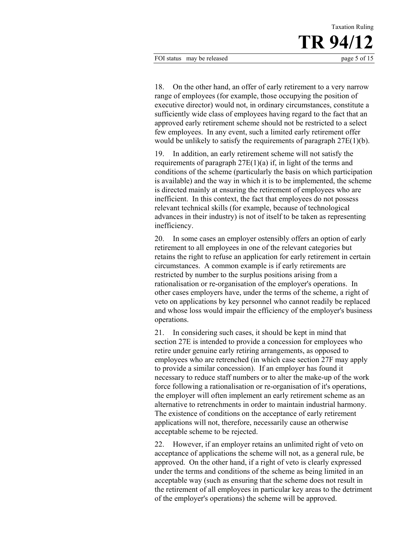18. On the other hand, an offer of early retirement to a very narrow range of employees (for example, those occupying the position of executive director) would not, in ordinary circumstances, constitute a sufficiently wide class of employees having regard to the fact that an approved early retirement scheme should not be restricted to a select few employees. In any event, such a limited early retirement offer would be unlikely to satisfy the requirements of paragraph 27E(1)(b).

19. In addition, an early retirement scheme will not satisfy the requirements of paragraph  $27E(1)(a)$  if, in light of the terms and conditions of the scheme (particularly the basis on which participation is available) and the way in which it is to be implemented, the scheme is directed mainly at ensuring the retirement of employees who are inefficient. In this context, the fact that employees do not possess relevant technical skills (for example, because of technological advances in their industry) is not of itself to be taken as representing inefficiency.

20. In some cases an employer ostensibly offers an option of early retirement to all employees in one of the relevant categories but retains the right to refuse an application for early retirement in certain circumstances. A common example is if early retirements are restricted by number to the surplus positions arising from a rationalisation or re-organisation of the employer's operations. In other cases employers have, under the terms of the scheme, a right of veto on applications by key personnel who cannot readily be replaced and whose loss would impair the efficiency of the employer's business operations.

21. In considering such cases, it should be kept in mind that section 27E is intended to provide a concession for employees who retire under genuine early retiring arrangements, as opposed to employees who are retrenched (in which case section 27F may apply to provide a similar concession). If an employer has found it necessary to reduce staff numbers or to alter the make-up of the work force following a rationalisation or re-organisation of it's operations, the employer will often implement an early retirement scheme as an alternative to retrenchments in order to maintain industrial harmony. The existence of conditions on the acceptance of early retirement applications will not, therefore, necessarily cause an otherwise acceptable scheme to be rejected.

22. However, if an employer retains an unlimited right of veto on acceptance of applications the scheme will not, as a general rule, be approved. On the other hand, if a right of veto is clearly expressed under the terms and conditions of the scheme as being limited in an acceptable way (such as ensuring that the scheme does not result in the retirement of all employees in particular key areas to the detriment of the employer's operations) the scheme will be approved.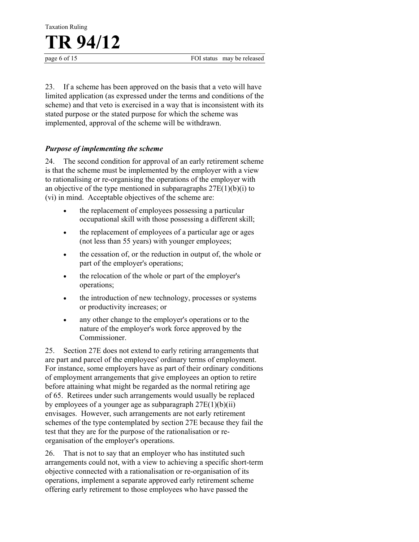23. If a scheme has been approved on the basis that a veto will have limited application (as expressed under the terms and conditions of the scheme) and that veto is exercised in a way that is inconsistent with its stated purpose or the stated purpose for which the scheme was implemented, approval of the scheme will be withdrawn.

## *Purpose of implementing the scheme*

24. The second condition for approval of an early retirement scheme is that the scheme must be implemented by the employer with a view to rationalising or re-organising the operations of the employer with an objective of the type mentioned in subparagraphs  $27E(1)(b)(i)$  to (vi) in mind. Acceptable objectives of the scheme are:

- the replacement of employees possessing a particular occupational skill with those possessing a different skill;
- the replacement of employees of a particular age or ages (not less than 55 years) with younger employees;
- the cessation of, or the reduction in output of, the whole or part of the employer's operations;
- the relocation of the whole or part of the employer's operations;
- the introduction of new technology, processes or systems or productivity increases; or
- any other change to the employer's operations or to the nature of the employer's work force approved by the Commissioner.

25. Section 27E does not extend to early retiring arrangements that are part and parcel of the employees' ordinary terms of employment. For instance, some employers have as part of their ordinary conditions of employment arrangements that give employees an option to retire before attaining what might be regarded as the normal retiring age of 65. Retirees under such arrangements would usually be replaced by employees of a younger age as subparagraph  $27E(1)(b)(ii)$ envisages. However, such arrangements are not early retirement schemes of the type contemplated by section 27E because they fail the test that they are for the purpose of the rationalisation or reorganisation of the employer's operations.

26. That is not to say that an employer who has instituted such arrangements could not, with a view to achieving a specific short-term objective connected with a rationalisation or re-organisation of its operations, implement a separate approved early retirement scheme offering early retirement to those employees who have passed the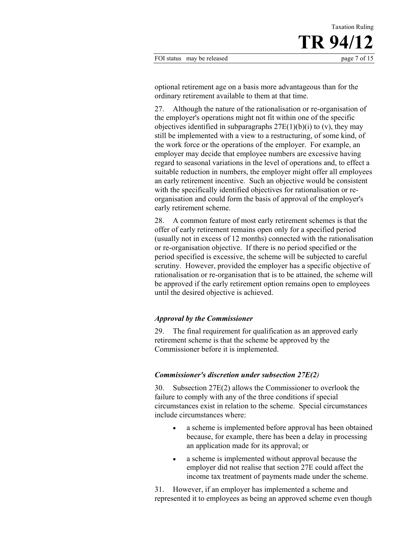FOI status may be released page 7 of 15

**TR 94/12**

Taxation Ruling

optional retirement age on a basis more advantageous than for the ordinary retirement available to them at that time.

27. Although the nature of the rationalisation or re-organisation of the employer's operations might not fit within one of the specific objectives identified in subparagraphs  $27E(1)(b)(i)$  to (v), they may still be implemented with a view to a restructuring, of some kind, of the work force or the operations of the employer. For example, an employer may decide that employee numbers are excessive having regard to seasonal variations in the level of operations and, to effect a suitable reduction in numbers, the employer might offer all employees an early retirement incentive. Such an objective would be consistent with the specifically identified objectives for rationalisation or reorganisation and could form the basis of approval of the employer's early retirement scheme.

28. A common feature of most early retirement schemes is that the offer of early retirement remains open only for a specified period (usually not in excess of 12 months) connected with the rationalisation or re-organisation objective. If there is no period specified or the period specified is excessive, the scheme will be subjected to careful scrutiny. However, provided the employer has a specific objective of rationalisation or re-organisation that is to be attained, the scheme will be approved if the early retirement option remains open to employees until the desired objective is achieved.

## *Approval by the Commissioner*

29. The final requirement for qualification as an approved early retirement scheme is that the scheme be approved by the Commissioner before it is implemented.

#### *Commissioner's discretion under subsection 27E(2)*

30. Subsection 27E(2) allows the Commissioner to overlook the failure to comply with any of the three conditions if special circumstances exist in relation to the scheme. Special circumstances include circumstances where:

- a scheme is implemented before approval has been obtained because, for example, there has been a delay in processing an application made for its approval; or
- a scheme is implemented without approval because the employer did not realise that section 27E could affect the income tax treatment of payments made under the scheme.

31. However, if an employer has implemented a scheme and represented it to employees as being an approved scheme even though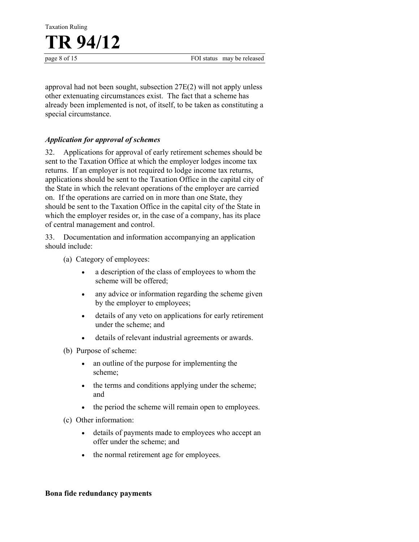Taxation Ruling **TR 94/12**

approval had not been sought, subsection 27E(2) will not apply unless other extenuating circumstances exist. The fact that a scheme has already been implemented is not, of itself, to be taken as constituting a special circumstance.

## *Application for approval of schemes*

32. Applications for approval of early retirement schemes should be sent to the Taxation Office at which the employer lodges income tax returns. If an employer is not required to lodge income tax returns, applications should be sent to the Taxation Office in the capital city of the State in which the relevant operations of the employer are carried on. If the operations are carried on in more than one State, they should be sent to the Taxation Office in the capital city of the State in which the employer resides or, in the case of a company, has its place of central management and control.

33. Documentation and information accompanying an application should include:

- (a) Category of employees:
	- a description of the class of employees to whom the scheme will be offered;
	- any advice or information regarding the scheme given by the employer to employees;
	- details of any veto on applications for early retirement under the scheme; and
	- details of relevant industrial agreements or awards.
- (b) Purpose of scheme:
	- an outline of the purpose for implementing the scheme;
	- the terms and conditions applying under the scheme; and
	- the period the scheme will remain open to employees.
- (c) Other information:
	- details of payments made to employees who accept an offer under the scheme; and
	- the normal retirement age for employees.

#### **Bona fide redundancy payments**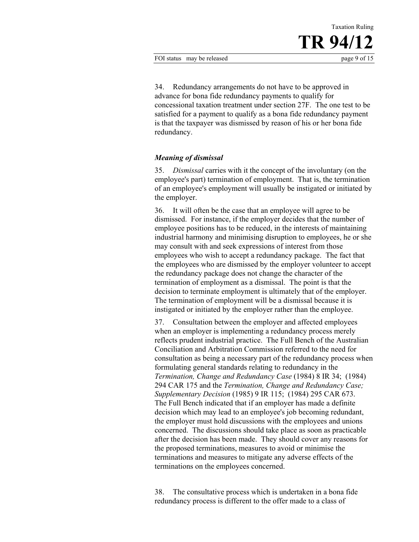34. Redundancy arrangements do not have to be approved in advance for bona fide redundancy payments to qualify for concessional taxation treatment under section 27F. The one test to be satisfied for a payment to qualify as a bona fide redundancy payment is that the taxpayer was dismissed by reason of his or her bona fide redundancy.

#### *Meaning of dismissal*

35. *Dismissal* carries with it the concept of the involuntary (on the employee's part) termination of employment. That is, the termination of an employee's employment will usually be instigated or initiated by the employer.

36. It will often be the case that an employee will agree to be dismissed. For instance, if the employer decides that the number of employee positions has to be reduced, in the interests of maintaining industrial harmony and minimising disruption to employees, he or she may consult with and seek expressions of interest from those employees who wish to accept a redundancy package. The fact that the employees who are dismissed by the employer volunteer to accept the redundancy package does not change the character of the termination of employment as a dismissal. The point is that the decision to terminate employment is ultimately that of the employer. The termination of employment will be a dismissal because it is instigated or initiated by the employer rather than the employee.

37. Consultation between the employer and affected employees when an employer is implementing a redundancy process merely reflects prudent industrial practice. The Full Bench of the Australian Conciliation and Arbitration Commission referred to the need for consultation as being a necessary part of the redundancy process when formulating general standards relating to redundancy in the *Termination, Change and Redundancy Case* (1984) 8 IR 34; (1984) 294 CAR 175 and the *Termination, Change and Redundancy Case; Supplementary Decision* (1985) 9 IR 115; (1984) 295 CAR 673. The Full Bench indicated that if an employer has made a definite decision which may lead to an employee's job becoming redundant, the employer must hold discussions with the employees and unions concerned. The discussions should take place as soon as practicable after the decision has been made. They should cover any reasons for the proposed terminations, measures to avoid or minimise the terminations and measures to mitigate any adverse effects of the terminations on the employees concerned.

38. The consultative process which is undertaken in a bona fide redundancy process is different to the offer made to a class of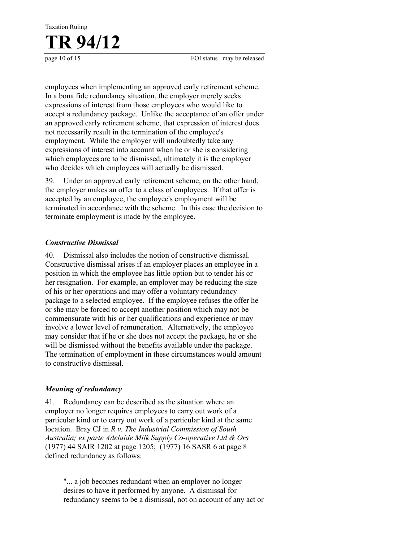

employees when implementing an approved early retirement scheme. In a bona fide redundancy situation, the employer merely seeks expressions of interest from those employees who would like to accept a redundancy package. Unlike the acceptance of an offer under an approved early retirement scheme, that expression of interest does not necessarily result in the termination of the employee's employment. While the employer will undoubtedly take any expressions of interest into account when he or she is considering which employees are to be dismissed, ultimately it is the employer who decides which employees will actually be dismissed.

39. Under an approved early retirement scheme, on the other hand, the employer makes an offer to a class of employees. If that offer is accepted by an employee, the employee's employment will be terminated in accordance with the scheme. In this case the decision to terminate employment is made by the employee.

#### *Constructive Dismissal*

40. Dismissal also includes the notion of constructive dismissal. Constructive dismissal arises if an employer places an employee in a position in which the employee has little option but to tender his or her resignation. For example, an employer may be reducing the size of his or her operations and may offer a voluntary redundancy package to a selected employee. If the employee refuses the offer he or she may be forced to accept another position which may not be commensurate with his or her qualifications and experience or may involve a lower level of remuneration. Alternatively, the employee may consider that if he or she does not accept the package, he or she will be dismissed without the benefits available under the package. The termination of employment in these circumstances would amount to constructive dismissal.

#### *Meaning of redundancy*

41. Redundancy can be described as the situation where an employer no longer requires employees to carry out work of a particular kind or to carry out work of a particular kind at the same location. Bray CJ in *R v. The Industrial Commission of South Australia; ex parte Adelaide Milk Supply Co-operative Ltd & Ors* (1977) 44 SAIR 1202 at page 1205; (1977) 16 SASR 6 at page 8 defined redundancy as follows:

"... a job becomes redundant when an employer no longer desires to have it performed by anyone. A dismissal for redundancy seems to be a dismissal, not on account of any act or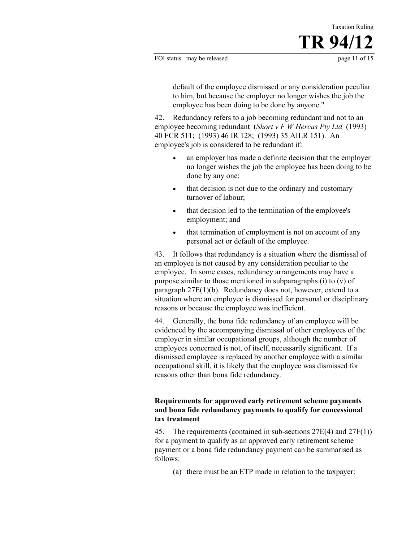default of the employee dismissed or any consideration peculiar to him, but because the employer no longer wishes the job the employee has been doing to be done by anyone."

42. Redundancy refers to a job becoming redundant and not to an employee becoming redundant (*Short v F W Hercus Pty Ltd* (1993) 40 FCR 511; (1993) 46 IR 128; (1993) 35 AILR 151). An employee's job is considered to be redundant if:

- an employer has made a definite decision that the employer no longer wishes the job the employee has been doing to be done by any one;
- that decision is not due to the ordinary and customary turnover of labour;
- that decision led to the termination of the employee's employment; and
- that termination of employment is not on account of any personal act or default of the employee.

43. It follows that redundancy is a situation where the dismissal of an employee is not caused by any consideration peculiar to the employee. In some cases, redundancy arrangements may have a purpose similar to those mentioned in subparagraphs (i) to (v) of paragraph 27E(1)(b). Redundancy does not, however, extend to a situation where an employee is dismissed for personal or disciplinary reasons or because the employee was inefficient.

44. Generally, the bona fide redundancy of an employee will be evidenced by the accompanying dismissal of other employees of the employer in similar occupational groups, although the number of employees concerned is not, of itself, necessarily significant. If a dismissed employee is replaced by another employee with a similar occupational skill, it is likely that the employee was dismissed for reasons other than bona fide redundancy.

### **Requirements for approved early retirement scheme payments and bona fide redundancy payments to qualify for concessional tax treatment**

45. The requirements (contained in sub-sections  $27E(4)$  and  $27F(1)$ ) for a payment to qualify as an approved early retirement scheme payment or a bona fide redundancy payment can be summarised as follows:

(a) there must be an ETP made in relation to the taxpayer: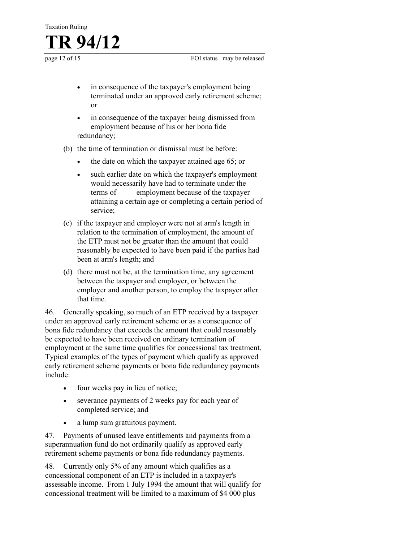- in consequence of the taxpayer's employment being terminated under an approved early retirement scheme; or
- in consequence of the taxpayer being dismissed from employment because of his or her bona fide redundancy;
- (b) the time of termination or dismissal must be before:
	- the date on which the taxpayer attained age 65; or
	- such earlier date on which the taxpayer's employment would necessarily have had to terminate under the terms of employment because of the taxpayer attaining a certain age or completing a certain period of service;
- (c) if the taxpayer and employer were not at arm's length in relation to the termination of employment, the amount of the ETP must not be greater than the amount that could reasonably be expected to have been paid if the parties had been at arm's length; and
- (d) there must not be, at the termination time, any agreement between the taxpayer and employer, or between the employer and another person, to employ the taxpayer after that time.

46. Generally speaking, so much of an ETP received by a taxpayer under an approved early retirement scheme or as a consequence of bona fide redundancy that exceeds the amount that could reasonably be expected to have been received on ordinary termination of employment at the same time qualifies for concessional tax treatment. Typical examples of the types of payment which qualify as approved early retirement scheme payments or bona fide redundancy payments include:

- four weeks pay in lieu of notice;
- severance payments of 2 weeks pay for each year of completed service; and
- a lump sum gratuitous payment.

47. Payments of unused leave entitlements and payments from a superannuation fund do not ordinarily qualify as approved early retirement scheme payments or bona fide redundancy payments.

48. Currently only 5% of any amount which qualifies as a concessional component of an ETP is included in a taxpayer's assessable income. From 1 July 1994 the amount that will qualify for concessional treatment will be limited to a maximum of \$4 000 plus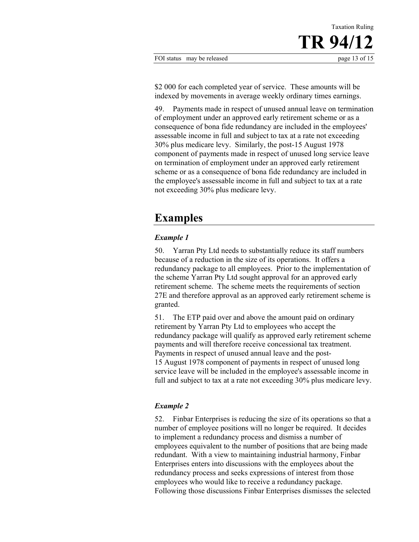\$2 000 for each completed year of service. These amounts will be indexed by movements in average weekly ordinary times earnings.

49. Payments made in respect of unused annual leave on termination of employment under an approved early retirement scheme or as a consequence of bona fide redundancy are included in the employees' assessable income in full and subject to tax at a rate not exceeding 30% plus medicare levy. Similarly, the post-15 August 1978 component of payments made in respect of unused long service leave on termination of employment under an approved early retirement scheme or as a consequence of bona fide redundancy are included in the employee's assessable income in full and subject to tax at a rate not exceeding 30% plus medicare levy.

# **Examples**

### *Example 1*

50. Yarran Pty Ltd needs to substantially reduce its staff numbers because of a reduction in the size of its operations. It offers a redundancy package to all employees. Prior to the implementation of the scheme Yarran Pty Ltd sought approval for an approved early retirement scheme. The scheme meets the requirements of section 27E and therefore approval as an approved early retirement scheme is granted.

51. The ETP paid over and above the amount paid on ordinary retirement by Yarran Pty Ltd to employees who accept the redundancy package will qualify as approved early retirement scheme payments and will therefore receive concessional tax treatment. Payments in respect of unused annual leave and the post-15 August 1978 component of payments in respect of unused long service leave will be included in the employee's assessable income in full and subject to tax at a rate not exceeding 30% plus medicare levy.

## *Example 2*

52. Finbar Enterprises is reducing the size of its operations so that a number of employee positions will no longer be required. It decides to implement a redundancy process and dismiss a number of employees equivalent to the number of positions that are being made redundant. With a view to maintaining industrial harmony, Finbar Enterprises enters into discussions with the employees about the redundancy process and seeks expressions of interest from those employees who would like to receive a redundancy package. Following those discussions Finbar Enterprises dismisses the selected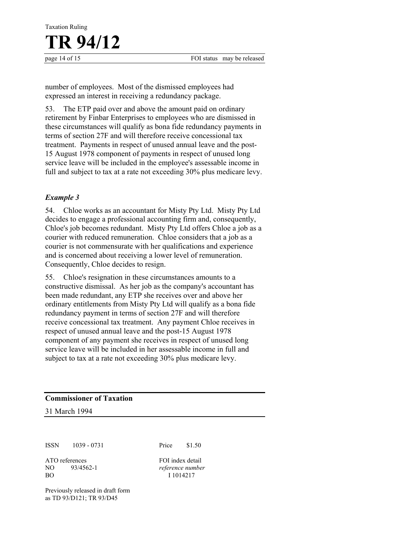

number of employees. Most of the dismissed employees had expressed an interest in receiving a redundancy package.

53. The ETP paid over and above the amount paid on ordinary retirement by Finbar Enterprises to employees who are dismissed in these circumstances will qualify as bona fide redundancy payments in terms of section 27F and will therefore receive concessional tax treatment. Payments in respect of unused annual leave and the post-15 August 1978 component of payments in respect of unused long service leave will be included in the employee's assessable income in full and subject to tax at a rate not exceeding 30% plus medicare levy.

## *Example 3*

54. Chloe works as an accountant for Misty Pty Ltd. Misty Pty Ltd decides to engage a professional accounting firm and, consequently, Chloe's job becomes redundant. Misty Pty Ltd offers Chloe a job as a courier with reduced remuneration. Chloe considers that a job as a courier is not commensurate with her qualifications and experience and is concerned about receiving a lower level of remuneration. Consequently, Chloe decides to resign.

55. Chloe's resignation in these circumstances amounts to a constructive dismissal. As her job as the company's accountant has been made redundant, any ETP she receives over and above her ordinary entitlements from Misty Pty Ltd will qualify as a bona fide redundancy payment in terms of section 27F and will therefore receive concessional tax treatment. Any payment Chloe receives in respect of unused annual leave and the post-15 August 1978 component of any payment she receives in respect of unused long service leave will be included in her assessable income in full and subject to tax at a rate not exceeding 30% plus medicare levy.

**Commissioner of Taxation** 

31 March 1994

ISSN 1039 - 0731

ATO references NO 93/4562-1 BO

FOI index detail *reference number*  I 1014217

Price \$1.50

Previously released in draft form as TD 93/D121; TR 93/D45